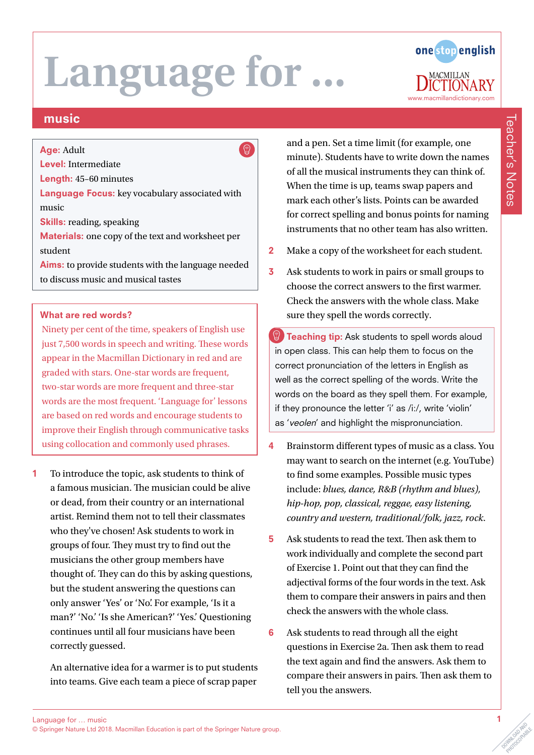$\bigcirc$ 



# music

#### Age: Adult

Level: Intermediate

Length: 45–60 minutes

Language Focus: key vocabulary associated with music

Skills: reading, speaking

Materials: one copy of the text and worksheet per student

Aims: to provide students with the language needed to discuss music and musical tastes

#### What are red words?

Ninety per cent of the time, speakers of English use just 7,500 words in speech and writing. These words appear in the Macmillan Dictionary in red and are graded with stars. One-star words are frequent, two-star words are more frequent and three-star words are the most frequent. 'Language for' lessons are based on red words and encourage students to improve their English through communicative tasks using collocation and commonly used phrases.

1 To introduce the topic, ask students to think of a famous musician. The musician could be alive or dead, from their country or an international artist. Remind them not to tell their classmates who they've chosen! Ask students to work in groups of four. They must try to find out the musicians the other group members have thought of. They can do this by asking questions, but the student answering the questions can only answer 'Yes' or 'No'. For example, 'Is it a man?' 'No.' 'Is she American?' 'Yes.' Questioning continues until all four musicians have been correctly guessed.

An alternative idea for a warmer is to put students into teams. Give each team a piece of scrap paper

and a pen. Set a time limit (for example, one minute). Students have to write down the names of all the musical instruments they can think of. When the time is up, teams swap papers and mark each other's lists. Points can be awarded for correct spelling and bonus points for naming instruments that no other team has also written.

- 2 Make a copy of the worksheet for each student.
- 3 Ask students to work in pairs or small groups to choose the correct answers to the first warmer. Check the answers with the whole class. Make sure they spell the words correctly.
- **Teaching tip:** Ask students to spell words aloud in open class. This can help them to focus on the correct pronunciation of the letters in English as well as the correct spelling of the words. Write the words on the board as they spell them. For example, if they pronounce the letter 'i' as /i:/, write 'violin' as 'veolen' and highlight the mispronunciation.
- 4 Brainstorm different types of music as a class. You may want to search on the internet (e.g. YouTube) to find some examples. Possible music types include: *blues, dance, R&B (rhythm and blues), hip-hop, pop, classical, reggae, easy listening, country and western, traditional/folk, jazz, rock*.
- 5 Ask students to read the text. Then ask them to work individually and complete the second part of Exercise 1. Point out that they can find the adjectival forms of the four words in the text. Ask them to compare their answers in pairs and then check the answers with the whole class.
- 6 Ask students to read through all the eight questions in Exercise 2a. Then ask them to read the text again and find the answers. Ask them to compare their answers in pairs. Then ask them to tell you the answers.

Teacher's Notes

Teacher's Notes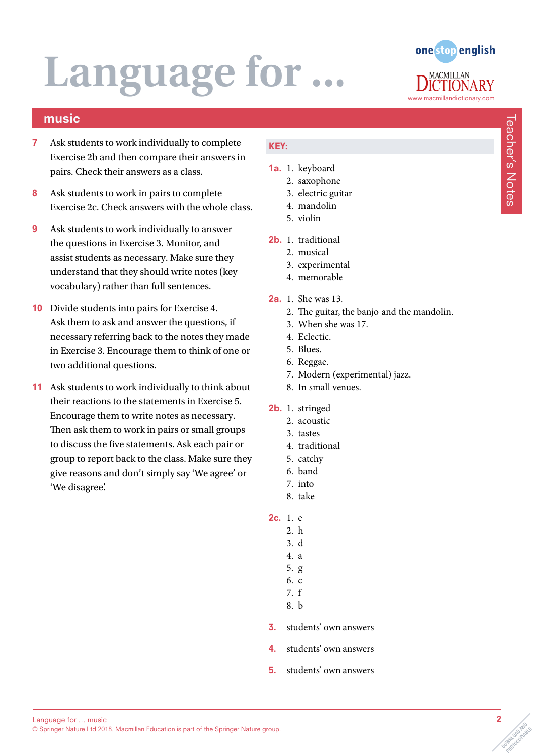### music

- 7 Ask students to work individually to complete Exercise 2b and then compare their answers in pairs. Check their answers as a class.
- 8 Ask students to work in pairs to complete Exercise 2c. Check answers with the whole class.
- 9 Ask students to work individually to answer the questions in Exercise 3. Monitor, and assist students as necessary. Make sure they understand that they should write notes (key vocabulary) rather than full sentences.
- 10 Divide students into pairs for Exercise 4. Ask them to ask and answer the questions, if necessary referring back to the notes they made in Exercise 3. Encourage them to think of one or two additional questions.
- 11 Ask students to work individually to think about their reactions to the statements in Exercise 5. Encourage them to write notes as necessary. Then ask them to work in pairs or small groups to discuss the five statements. Ask each pair or group to report back to the class. Make sure they give reasons and don't simply say 'We agree' or 'We disagree'.

### KEY:

- 1a. 1. keyboard
	- 2. saxophone 3. electric guitar
	- 4. mandolin
	- 5. violin
- 2b. 1. traditional
	- 2. musical
	- 3. experimental
	- 4. memorable
- 2a. 1. She was 13.
	- 2. The guitar, the banjo and the mandolin.
	- 3. When she was 17.
	- 4. Eclectic.
	- 5. Blues.
	- 6. Reggae.
	- 7. Modern (experimental) jazz.
	- 8. In small venues.
- 2b. 1. stringed
	- 2. acoustic
	- 3. tastes
	- 4. traditional
	- 5. catchy
	- 6. band
	- 7. into
	- 8. take
- 2c. 1. e
	- 2. h
	- 3. d
	- 4. a 5. g
	- 6. c
	- 7. f
	- 8. b
- 3. students' own answers
- 4. students' own answers
- 5. students' own answers

OOMNLOAD AND PHOTOCOPIABLE

# one stop english www.macmillandictionary.com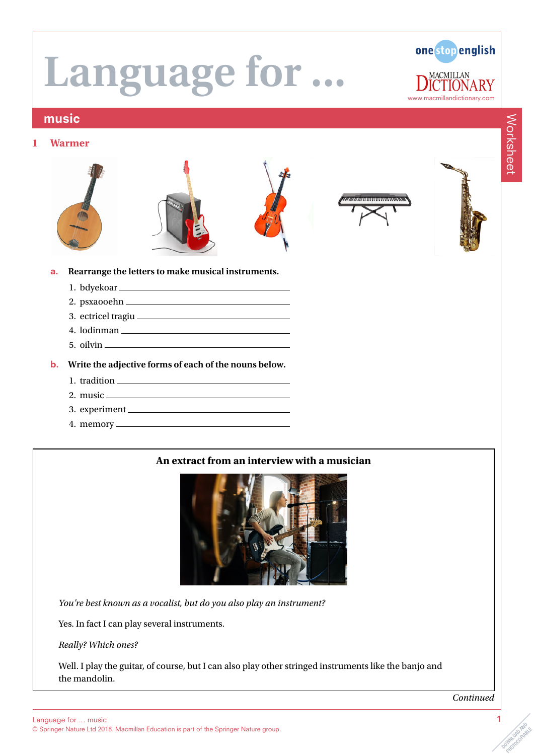one stop english **MACMILLAN** RY www.macmillandictionary.com

# music

#### **1 Warmer**











#### a. **Rearrange the letters to make musical instruments.**

- 1. bdyekoar
- 2. psxaooehn
- 3. ectricel tragiu
- 4. lodinman
- 5. oilvin

#### b. **Write the adjective forms of each of the nouns below.**

- 1. tradition
- 2. music
- 3. experiment
- 4. memory

# **An extract from an interview with a musician**



*You're best known as a vocalist, but do you also play an instrument?*

Yes. In fact I can play several instruments.

*Really? Which ones?*

Well. I play the guitar, of course, but I can also play other stringed instruments like the banjo and the mandolin.

*Continued*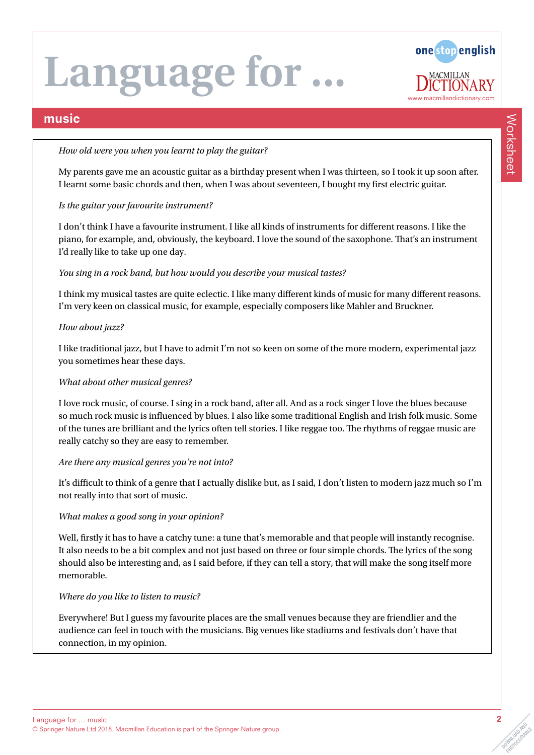

### music

#### *How old were you when you learnt to play the guitar?*

My parents gave me an acoustic guitar as a birthday present when I was thirteen, so I took it up soon after. I learnt some basic chords and then, when I was about seventeen, I bought my first electric guitar.

#### *Is the guitar your favourite instrument?*

I don't think I have a favourite instrument. I like all kinds of instruments for different reasons. I like the piano, for example, and, obviously, the keyboard. I love the sound of the saxophone. That's an instrument I'd really like to take up one day.

#### *You sing in a rock band, but how would you describe your musical tastes?*

I think my musical tastes are quite eclectic. I like many different kinds of music for many different reasons. I'm very keen on classical music, for example, especially composers like Mahler and Bruckner.

#### *How about jazz?*

I like traditional jazz, but I have to admit I'm not so keen on some of the more modern, experimental jazz you sometimes hear these days.

#### *What about other musical genres?*

I love rock music, of course. I sing in a rock band, after all. And as a rock singer I love the blues because so much rock music is influenced by blues. I also like some traditional English and Irish folk music. Some of the tunes are brilliant and the lyrics often tell stories. I like reggae too. The rhythms of reggae music are really catchy so they are easy to remember.

#### *Are there any musical genres you're not into?*

It's difficult to think of a genre that I actually dislike but, as I said, I don't listen to modern jazz much so I'm not really into that sort of music.

#### *What makes a good song in your opinion?*

Well, firstly it has to have a catchy tune: a tune that's memorable and that people will instantly recognise. It also needs to be a bit complex and not just based on three or four simple chords. The lyrics of the song should also be interesting and, as I said before, if they can tell a story, that will make the song itself more memorable.

#### *Where do you like to listen to music?*

Everywhere! But I guess my favourite places are the small venues because they are friendlier and the audience can feel in touch with the musicians. Big venues like stadiums and festivals don't have that connection, in my opinion.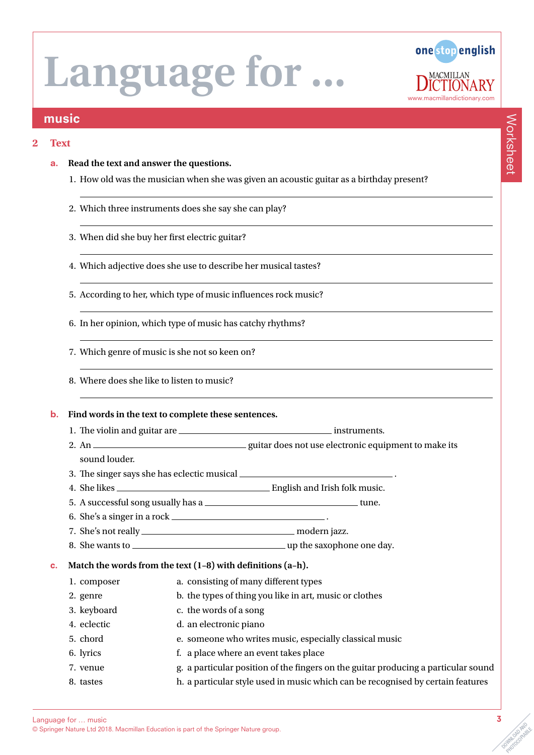

### music

#### **2 Text**

- a. **Read the text and answer the questions.** 
	- 1. How old was the musician when she was given an acoustic guitar as a birthday present?
	- 2. Which three instruments does she say she can play?
	- 3. When did she buy her first electric guitar?
	- 4. Which adjective does she use to describe her musical tastes?
	- 5. According to her, which type of music influences rock music?
	- 6. In her opinion, which type of music has catchy rhythms?
	- 7. Which genre of music is she not so keen on?
	- 8. Where does she like to listen to music?

#### b. **Find words in the text to complete these sentences.**

- 1. The violin and guitar are <u>instruments.</u> instruments.
- 2. An guitar does not use electronic equipment to make its sound louder.
- 3. The singer says she has eclectic musical .
- 4. She likes **English and Irish folk music.**
- 5. A successful song usually has a  $\frac{1}{100}$  and  $\frac{1}{100}$  tune.
- 6. She's a singer in a rock .
- 7. She's not really modern jazz.
- 8. She wants to <u>example a series and the saxophone</u> one day.

#### c. **Match the words from the text (1–8) with definitions (a–h).**

- 1. composer a. consisting of many different types
- 2. genre b. the types of thing you like in art, music or clothes
- 3. keyboard c. the words of a song
- 4. eclectic d. an electronic piano
- 5. chord e. someone who writes music, especially classical music
- 6. lyrics f. a place where an event takes place
- 7. venue g. a particular position of the fingers on the guitar producing a particular sound
- 8. tastes h. a particular style used in music which can be recognised by certain features

Worksheet

Worksheet

© Springer Nature Ltd 2018. Macmillan Education is part of the Springer Nature group.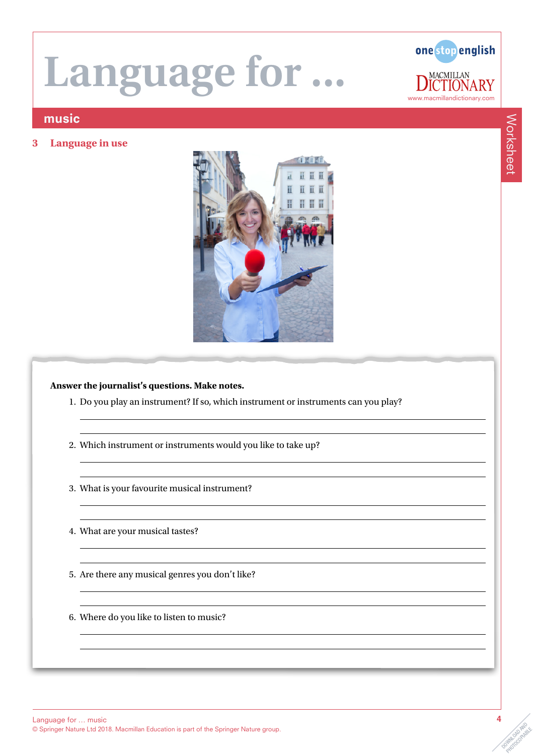

**3 Language in use**



### **Answer the journalist's questions. Make notes.**

- 1. Do you play an instrument? If so, which instrument or instruments can you play?
- 2. Which instrument or instruments would you like to take up?
- 3. What is your favourite musical instrument?
- 4. What are your musical tastes?
- 5. Are there any musical genres you don't like?
- 6. Where do you like to listen to music?

www.macmillandictionary.com

.RY

**MACMILLAN** 

one stop english